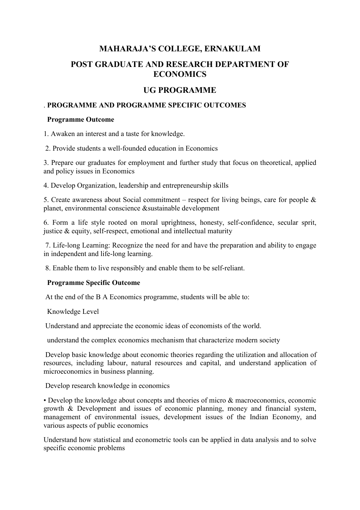## **MAHARAJA'S COLLEGE, ERNAKULAM**

# **POST GRADUATE AND RESEARCH DEPARTMENT OF ECONOMICS**

## **UG PROGRAMME**

#### . **PROGRAMME AND PROGRAMME SPECIFIC OUTCOMES**

#### **Programme Outcome**

1. Awaken an interest and a taste for knowledge.

2. Provide students a well-founded education in Economics

3. Prepare our graduates for employment and further study that focus on theoretical, applied and policy issues in Economics

4. Develop Organization, leadership and entrepreneurship skills

5. Create awareness about Social commitment – respect for living beings, care for people  $\&$ planet, environmental conscience &sustainable development

6. Form a life style rooted on moral uprightness, honesty, self-confidence, secular sprit, justice  $\&$  equity, self-respect, emotional and intellectual maturity

7. Life-long Learning: Recognize the need for and have the preparation and ability to engage in independent and life-long learning.

8. Enable them to live responsibly and enable them to be self-reliant.

### **Programme Specific Outcome**

At the end of the B A Economics programme, students will be able to:

Knowledge Level

Understand and appreciate the economic ideas of economists of the world.

understand the complex economics mechanism that characterize modern society

Develop basic knowledge about economic theories regarding the utilization and allocation of resources, including labour, natural resources and capital, and understand application of microeconomics in business planning.

Develop research knowledge in economics

• Develop the knowledge about concepts and theories of micro & macroeconomics, economic growth & Development and issues of economic planning, money and financial system, management of environmental issues, development issues of the Indian Economy, and various aspects of public economics

Understand how statistical and econometric tools can be applied in data analysis and to solve specific economic problems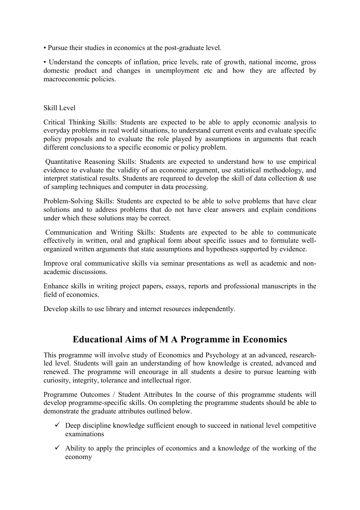• Pursue their studies in economics at the post-graduate level.

• Understand the concepts of inflation, price levels, rate of growth, national income, gross domestic product and changes in unemployment etc and how they are affected by macroeconomic policies.

#### Skill Level

Critical Thinking Skills: Students are expected to be able to apply economic analysis to everyday problems in real world situations, to understand current events and evaluate specific policy proposals and to evaluate the role played by assumptions in arguments that reach different conclusions to a specific economic or policy problem.

Quantitative Reasoning Skills: Students are expected to understand how to use empirical evidence to evaluate the validity of an economic argument, use statistical methodology, and interpret statistical results. Students are requreed to develop the skill of data collection & use of sampling techniques and computer in data processing.

Problem-Solving Skills: Students are expected to be able to solve problems that have clear solutions and to address problems that do not have clear answers and explain conditions under which these solutions may be correct.

Communication and Writing Skills: Students are expected to be able to communicate effectively in written, oral and graphical form about specific issues and to formulate wellorganized written arguments that state assumptions and hypotheses supported by evidence.

Improve oral communicative skills via seminar presentations as well as academic and nonacademic discussions.

Enhance skills in writing project papers, essays, reports and professional manuscripts in the field of economics.

Develop skills to use library and internet resources independently.

# **Educational Aims of M A Programme in Economics**

This programme will involve study of Economics and Psychology at an advanced, researchled level. Students will gain an understanding of how knowledge is created, advanced and renewed. The programme will encourage in all students a desire to pursue learning with curiosity, integrity, tolerance and intellectual rigor.

Programme Outcomes / Student Attributes In the course of this programme students will develop programme-specific skills. On completing the programme students should be able to demonstrate the graduate attributes outlined below.

- $\checkmark$  Deep discipline knowledge sufficient enough to succeed in national level competitive examinations
- $\checkmark$  Ability to apply the principles of economics and a knowledge of the working of the economy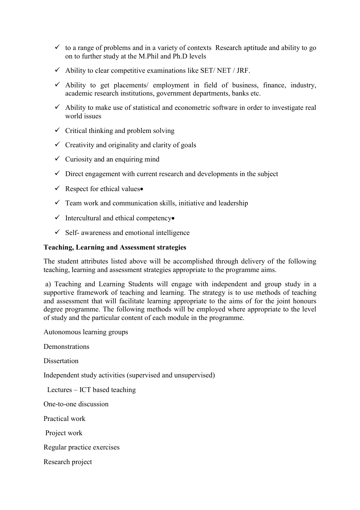- $\checkmark$  to a range of problems and in a variety of contexts Research aptitude and ability to go on to further study at the M.Phil and Ph.D levels
- $\checkmark$  Ability to clear competitive examinations like SET/ NET / JRF.
- $\checkmark$  Ability to get placements/ employment in field of business, finance, industry, academic research institutions, government departments, banks etc.
- $\checkmark$  Ability to make use of statistical and econometric software in order to investigate real world issues
- $\checkmark$  Critical thinking and problem solving
- $\checkmark$  Creativity and originality and clarity of goals
- $\checkmark$  Curiosity and an enquiring mind
- $\checkmark$  Direct engagement with current research and developments in the subject
- $\checkmark$  Respect for ethical values
- $\checkmark$  Team work and communication skills, initiative and leadership
- $\checkmark$  Intercultural and ethical competency
- $\checkmark$  Self- awareness and emotional intelligence

#### **Teaching, Learning and Assessment strategies**

The student attributes listed above will be accomplished through delivery of the following teaching, learning and assessment strategies appropriate to the programme aims.

a) Teaching and Learning Students will engage with independent and group study in a supportive framework of teaching and learning. The strategy is to use methods of teaching and assessment that will facilitate learning appropriate to the aims of for the joint honours degree programme. The following methods will be employed where appropriate to the level of study and the particular content of each module in the programme.

Autonomous learning groups

**Demonstrations** 

**Dissertation** 

Independent study activities (supervised and unsupervised)

Lectures – ICT based teaching

One-to-one discussion

Practical work

Project work

Regular practice exercises

Research project